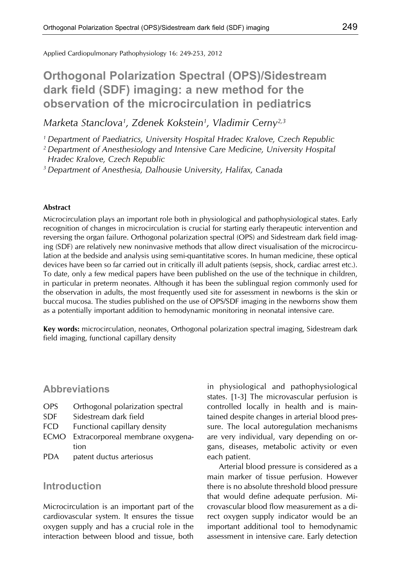Applied Cardiopulmonary Pathophysiology 16: 249-253, 2012

# **Orthogonal Polarization Spectral (OPS)/Sidestream dark field (SDF) imaging: a new method for the observation of the microcirculation in pediatrics**

*Marketa Stanclova1, Zdenek Kokstein1, Vladimir Cerny2,3*

*1 Department of Paediatrics, University Hospital Hradec Kralove, Czech Republic*

*2 Department of Anesthesiology and Intensive Care Medicine, University Hospital Hradec Kralove, Czech Republic*

*3 Department of Anesthesia, Dalhousie University, Halifax, Canada*

#### **Abstract**

Microcirculation plays an important role both in physiological and pathophysiological states. Early recognition of changes in microcirculation is crucial for starting early therapeutic intervention and reversing the organ failure. Orthogonal polarization spectral (OPS) and Sidestream dark field imaging (SDF) are relatively new noninvasive methods that allow direct visualisation of the microcirculation at the bedside and analysis using semi-quantitative scores. In human medicine, these optical devices have been so far carried out in critically ill adult patients (sepsis, shock, cardiac arrest etc.). To date, only a few medical papers have been published on the use of the technique in children, in particular in preterm neonates. Although it has been the sublingual region commonly used for the observation in adults, the most frequently used site for assessment in newborns is the skin or buccal mucosa. The studies published on the use of OPS/SDF imaging in the newborns show them as a potentially important addition to hemodynamic monitoring in neonatal intensive care.

**Key words:** microcirculation, neonates, Orthogonal polarization spectral imaging, Sidestream dark field imaging, functional capillary density

#### **Abbreviations**

- OPS Orthogonal polarization spectral
- SDF Sidestream dark field
- FCD Functional capillary density
- ECMO Extracorporeal membrane oxygenation
- PDA patent ductus arteriosus

#### **Introduction**

Microcirculation is an important part of the cardiovascular system. It ensures the tissue oxygen supply and has a crucial role in the interaction between blood and tissue, both in physiological and pathophysiological states. [1-3] The microvascular perfusion is controlled locally in health and is maintained despite changes in arterial blood pressure. The local autoregulation mechanisms are very individual, vary depending on organs, diseases, metabolic activity or even each patient.

Arterial blood pressure is considered as a main marker of tissue perfusion. However there is no absolute threshold blood pressure that would define adequate perfusion. Microvascular blood flow measurement as a direct oxygen supply indicator would be an important additional tool to hemodynamic assessment in intensive care. Early detection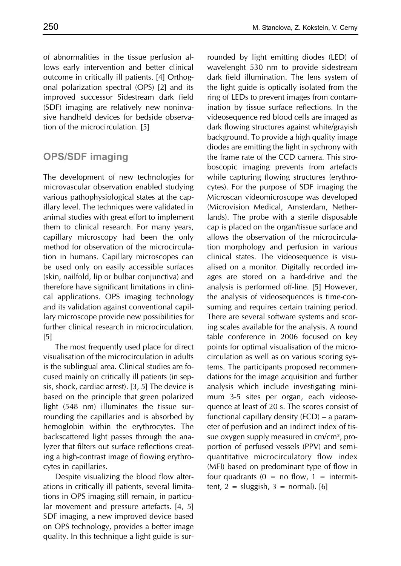of abnormalities in the tissue perfusion allows early intervention and better clinical outcome in critically ill patients. [4] Orthogonal polarization spectral (OPS) [2] and its improved successor Sidestream dark field (SDF) imaging are relatively new noninvasive handheld devices for bedside observation of the microcirculation. [5]

# **OPS/SDF imaging**

The development of new technologies for microvascular observation enabled studying various pathophysiological states at the capillary level. The techniques were validated in animal studies with great effort to implement them to clinical research. For many years, capillary microscopy had been the only method for observation of the microcirculation in humans. Capillary microscopes can be used only on easily accessible surfaces (skin, nailfold, lip or bulbar conjunctiva) and therefore have significant limitations in clinical applications. OPS imaging technology and its validation against conventional capillary microscope provide new possibilities for further clinical research in microcirculation. [5]

The most frequently used place for direct visualisation of the microcirculation in adults is the sublingual area. Clinical studies are focused mainly on critically ill patients (in sepsis, shock, cardiac arrest). [3, 5] The device is based on the principle that green polarized light (548 nm) illuminates the tissue surrounding the capillaries and is absorbed by hemoglobin within the erythrocytes. The backscattered light passes through the analyzer that filters out surface reflections creating a high-contrast image of flowing erythrocytes in capillaries.

Despite visualizing the blood flow alterations in critically ill patients, several limitations in OPS imaging still remain, in particular movement and pressure artefacts. [4, 5] SDF imaging, a new improved device based on OPS technology, provides a better image quality. In this technique a light guide is surrounded by light emitting diodes (LED) of wavelenght 530 nm to provide sidestream dark field illumination. The lens system of the light guide is optically isolated from the ring of LEDs to prevent images from contamination by tissue surface reflections. In the videosequence red blood cells are imaged as dark flowing structures against white/grayish background. To provide a high quality image diodes are emitting the light in sychrony with the frame rate of the CCD camera. This stroboscopic imaging prevents from artefacts while capturing flowing structures (erythrocytes). For the purpose of SDF imaging the Microscan videomicroscope was developed (Microvision Medical, Amsterdam, Netherlands). The probe with a sterile disposable cap is placed on the organ/tissue surface and allows the observation of the microcirculation morphology and perfusion in various clinical states. The videosequence is visualised on a monitor. Digitally recorded images are stored on a hard-drive and the analysis is performed off-line. [5] However, the analysis of videosequences is time-consuming and requires certain training period. There are several software systems and scoring scales available for the analysis. A round table conference in 2006 focused on key points for optimal visualisation of the microcirculation as well as on various scoring systems. The participants proposed recommendations for the image acquisition and further analysis which include investigating minimum 3-5 sites per organ, each videosequence at least of 20 s. The scores consist of functional capillary density (FCD) – a parameter of perfusion and an indirect index of tissue oxygen supply measured in cm/cm², proportion of perfused vessels (PPV) and semiquantitative microcirculatory flow index (MFI) based on predominant type of flow in four quadrants  $(0 = no flow, 1 = intermit$ tent,  $2 =$  sluggish,  $3 =$  normal). [6]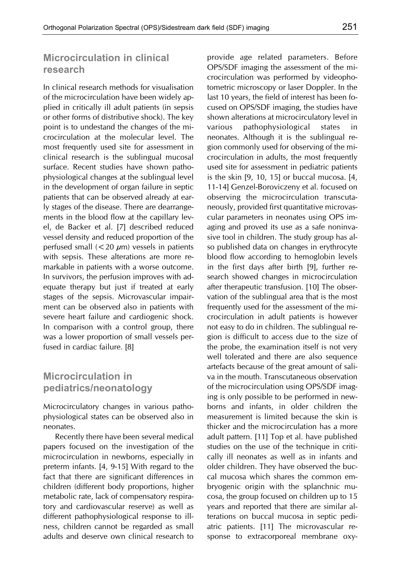### **Microcirculation in clinical research**

In clinical research methods for visualisation of the microcirculation have been widely applied in critically ill adult patients (in sepsis or other forms of distributive shock). The key point is to undestand the changes of the microcirculation at the molecular level. The most frequently used site for assessment in clinical research is the sublingual mucosal surface. Recent studies have shown pathophysiological changes at the sublingual level in the development of organ failure in septic patients that can be observed already at early stages of the disease. There are dearrangements in the blood flow at the capillary level, de Backer et al. [7] described reduced vessel density and reduced proportion of the perfused small  $(< 20 \mu m)$  vessels in patients with sepsis. These alterations are more remarkable in patients with a worse outcome. In survivors, the perfusion improves with adequate therapy but just if treated at early stages of the sepsis. Microvascular impairment can be observed also in patients with severe heart failure and cardiogenic shock. In comparison with a control group, there was a lower proportion of small vessels perfused in cardiac failure. [8]

### **Microcirculation in pediatrics/neonatology**

Microcirculatory changes in various pathophysiological states can be observed also in neonates.

Recently there have been several medical papers focused on the investigation of the microcirculation in newborns, especially in preterm infants. [4, 9-15] With regard to the fact that there are significant differences in children (different body proportions, higher metabolic rate, lack of compensatory respiratory and cardiovascular reserve) as well as different pathophysiological response to illness, children cannot be regarded as small adults and deserve own clinical research to provide age related parameters. Before OPS/SDF imaging the assessment of the microcirculation was performed by videophotometric microscopy or laser Doppler. In the last 10 years, the field of interest has been focused on OPS/SDF imaging, the studies have shown alterations at microcirculatory level in various pathophysiological states in neonates. Although it is the sublingual region commonly used for observing of the microcirculation in adults, the most frequently used site for assessment in pediatric patients is the skin [9, 10, 15] or buccal mucosa. [4, 11-14] Genzel-Boroviczeny et al. focused on observing the microcirculation transcutaneously, provided first quantitative microvascular parameters in neonates using OPS imaging and proved its use as a safe noninvasive tool in children. The study group has also published data on changes in erythrocyte blood flow according to hemoglobin levels in the first days after birth [9], further research showed changes in microcirculation after therapeutic transfusion. [10] The observation of the sublingual area that is the most frequently used for the assessment of the microcirculation in adult patients is however not easy to do in children. The sublingual region is difficult to access due to the size of the probe, the examination itself is not very well tolerated and there are also sequence artefacts because of the great amount of saliva in the mouth. Transcutaneous observation of the microcirculation using OPS/SDF imaging is only possible to be performed in newborns and infants, in older children the measurement is limited because the skin is thicker and the microcirculation has a more adult pattern. [11] Top et al. have published studies on the use of the technique in critically ill neonates as well as in infants and older children. They have observed the buccal mucosa which shares the common embryogenic origin with the splanchnic mucosa, the group focused on children up to 15 years and reported that there are similar alterations on buccal mucosa in septic pediatric patients. [11] The microvascular response to extracorporeal membrane oxy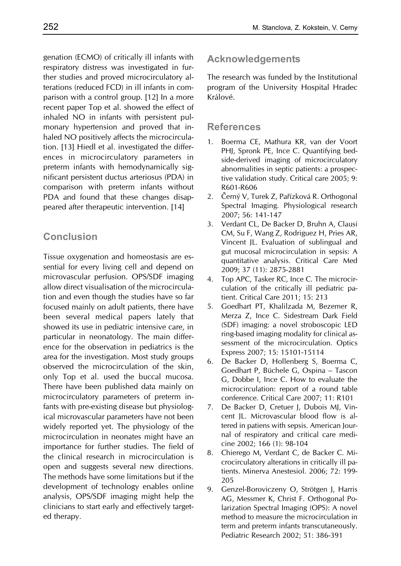genation (ECMO) of critically ill infants with respiratory distress was investigated in further studies and proved microcirculatory alterations (reduced FCD) in ill infants in comparison with a control group. [12] In a more recent paper Top et al. showed the effect of inhaled NO in infants with persistent pulmonary hypertension and proved that inhaled NO positively affects the microcirculation. [13] Hiedl et al. investigated the differences in microcirculatory parameters in preterm infants with hemodynamically significant persistent ductus arteriosus (PDA) in comparison with preterm infants without PDA and found that these changes disappeared after therapeutic intervention. [14]

# **Conclusion**

Tissue oxygenation and homeostasis are essential for every living cell and depend on microvascular perfusion. OPS/SDF imaging allow direct visualisation of the microcirculation and even though the studies have so far focused mainly on adult patients, there have been several medical papers lately that showed its use in pediatric intensive care, in particular in neonatology. The main difference for the observation in pediatrics is the area for the investigation. Most study groups observed the microcirculation of the skin, only Top et al. used the buccal mucosa. There have been published data mainly on microcirculatory parameters of preterm infants with pre-existing disease but physiological microvascular parameters have not been widely reported yet. The physiology of the microcirculation in neonates might have an importance for further studies. The field of the clinical research in microcirculation is open and suggests several new directions. The methods have some limitations but if the development of technology enables online analysis, OPS/SDF imaging might help the clinicians to start early and effectively targeted therapy.

# **Acknowledgements**

The research was funded by the Institutional program of the University Hospital Hradec Králové.

# **References**

- 1. Boerma CE, Mathura KR, van der Voort PHJ, Spronk PE, Ince C. Quantifying bedside-derived imaging of microcirculatory abnormalities in septic patients: a prospective validation study. Critical care 2005; 9: R601-R606
- 2. Černý V, Turek Z, Pařízková R. Orthogonal Spectral Imaging. Physiological research 2007; 56: 141-147
- 3. Verdant CL, De Backer D, Bruhn A, Clausi CM, Su F, Wang Z, Rodriguez H, Pries AR, Vincent JL. Evaluation of sublingual and gut mucosal microcirculation in sepsis: A quantitative analysis. Critical Care Med 2009; 37 (11): 2875-2881
- 4. Top APC, Tasker RC, Ince C. The microcirculation of the critically ill pediatric patient. Critical Care 2011; 15: 213
- 5. Goedhart PT, Khalilzada M, Bezemer R, Merza Z, Ince C. Sidestream Dark Field (SDF) imaging: a novel stroboscopic LED ring-based imaging modality for clinical assessment of the microcirculation. Optics Express 2007; 15: 15101-15114
- 6. De Backer D, Hollenberg S, Boerma C, Goedhart P, Büchele G, Ospina – Tascon G, Dobbe I, Ince C. How to evaluate the microcirculation: report of a round table conference. Critical Care 2007; 11: R101
- 7. De Backer D, Cretuer J, Dubois MJ, Vincent JL. Microvascular blood flow is altered in patiens with sepsis. American Journal of respiratory and critical care medicine 2002; 166 (1): 98-104
- 8. Chierego M, Verdant C, de Backer C. Microcirculatory alterations in critically ill patients. Minerva Anestesiol. 2006; 72: 199- 205
- 9. Genzel-Boroviczeny O, Strötgen J, Harris AG, Messmer K, Christ F. Orthogonal Polarization Spectral Imaging (OPS): A novel method to measure the microcirculation in term and preterm infants transcutaneously. Pediatric Research 2002; 51: 386-391